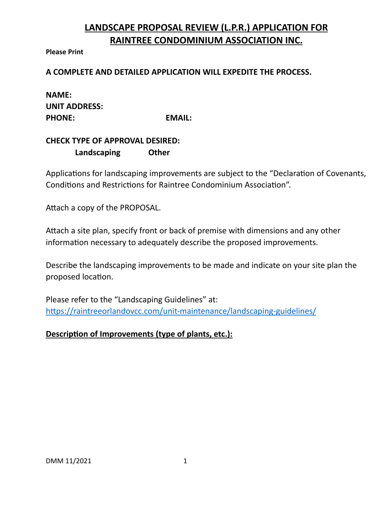## **LANDSCAPE PROPOSAL REVIEW (L.P.R.) APPLICATION FOR RAINTREE CONDOMINIUM ASSOCIATION INC.**

**Please Print**

**A COMPLETE AND DETAILED APPLICATION WILL EXPEDITE THE PROCESS.**

| <b>NAME:</b>         |  |
|----------------------|--|
| <b>UNIT ADDRESS:</b> |  |
| <b>PHONE:</b>        |  |

**PHONE: EMAIL:**

| <b>CHECK TYPE OF APPROVAL DESIRED:</b> |              |
|----------------------------------------|--------------|
| $\Box$ Landscaping                     | $\Box$ Other |

Applications for landscaping improvements are subject to the "Declaration of Covenants, Conditions and Restrictions for Raintree Condominium Association".

Attach a copy of the PROPOSAL.

Attach a site plan, specify front or back of premise with dimensions and any other information necessary to adequately describe the proposed improvements.

Describe the landscaping improvements to be made and indicate on your site plan the proposed location.

Please refer to the "Landscaping Guidelines" at: <https://raintreeorlandovcc.com/unit-maintenance/landscaping-guidelines/>

## **Description of Improvements (type of plants, etc.):**